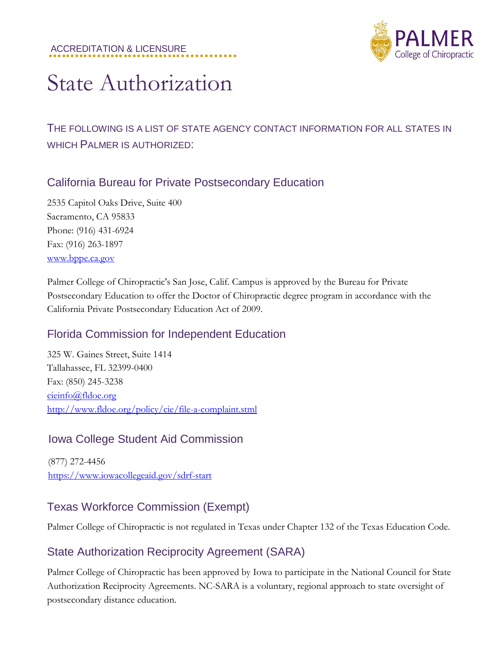#### ACCREDITATION & LICENSURE **............**



# State Authorization

## THE FOLLOWING IS A LIST OF STATE AGENCY CONTACT INFORMATION FOR ALL STATES IN WHICH PALMER IS AUTHORIZED:

#### California Bureau for Private Postsecondary Education

2535 Capitol Oaks Drive, Suite 400 Sacramento, CA 95833 Phone: (916) 431-6924 Fax: (916) 263-1897 [www.bppe.ca.gov](http://www.bppe.ca.gov/)

Palmer College of Chiropractic's San Jose, Calif. Campus is approved by the Bureau for Private Postsecondary Education to offer the Doctor of Chiropractic degree program in accordance with the California Private Postsecondary Education Act of 2009.

#### Florida Commission for Independent Education

325 W. Gaines Street, Suite 1414 Tallahassee, FL 32399-0400 Fax: (850) 245-3238 [cieinfo@fldoe.org](mailto:cieinfo@fldoe.org) <http://www.fldoe.org/policy/cie/file-a-complaint.stml>

#### Iowa College Student Aid Commission

(877) 272-4456 [https://www.iowacollegeaid.gov/sdrf-start](http://www.iowacollegeaid.gov/sdrf-start)

#### Texas Workforce Commission (Exempt)

Palmer College of Chiropractic is not regulated in Texas under Chapter 132 of the Texas Education Code.

#### State Authorization Reciprocity Agreement (SARA)

Palmer College of Chiropractic has been approved by Iowa to participate in the National Council for State Authorization Reciprocity Agreements. NC-SARA is a voluntary, regional approach to state oversight of postsecondary distance education.